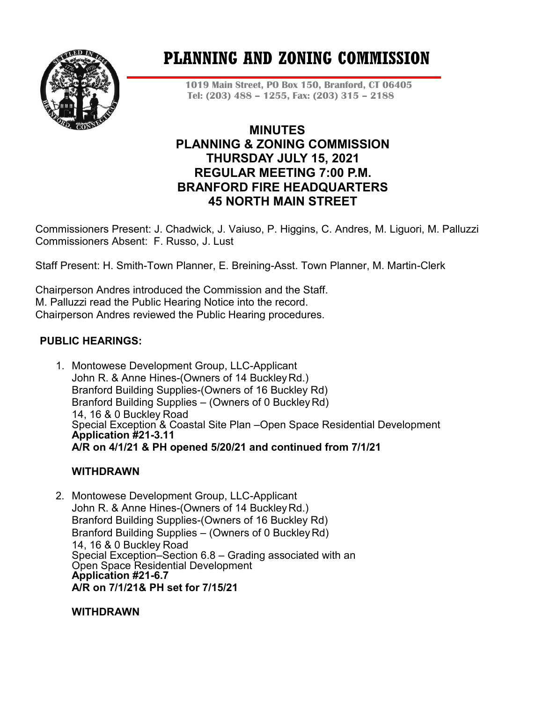

# **PLANNING AND ZONING COMMISSION**

**1019 Main Street, PO Box 150, Branford, CT 06405 Tel: (203) 488 – 1255, Fax: (203) 315 – 2188**

# **MINUTES PLANNING & ZONING COMMISSION THURSDAY JULY 15, 2021 REGULAR MEETING 7:00 P.M. BRANFORD FIRE HEADQUARTERS 45 NORTH MAIN STREET**

Commissioners Present: J. Chadwick, J. Vaiuso, P. Higgins, C. Andres, M. Liguori, M. Palluzzi Commissioners Absent: F. Russo, J. Lust

Staff Present: H. Smith-Town Planner, E. Breining-Asst. Town Planner, M. Martin-Clerk

Chairperson Andres introduced the Commission and the Staff. M. Palluzzi read the Public Hearing Notice into the record. Chairperson Andres reviewed the Public Hearing procedures.

# **PUBLIC HEARINGS:**

1. Montowese Development Group, LLC-Applicant John R. & Anne Hines-(Owners of 14 BuckleyRd.) Branford Building Supplies-(Owners of 16 Buckley Rd) Branford Building Supplies – (Owners of 0 BuckleyRd) 14, 16 & 0 Buckley Road Special Exception & Coastal Site Plan –Open Space Residential Development **Application #21-3.11 A/R on 4/1/21 & PH opened 5/20/21 and continued from 7/1/21**

# **WITHDRAWN**

2. Montowese Development Group, LLC-Applicant John R. & Anne Hines-(Owners of 14 BuckleyRd.) Branford Building Supplies-(Owners of 16 Buckley Rd) Branford Building Supplies – (Owners of 0 BuckleyRd) 14, 16 & 0 Buckley Road Special Exception–Section 6.8 – Grading associated with an Open Space Residential Development **Application #21-6.7 A/R on 7/1/21& PH set for 7/15/21** 

**WITHDRAWN**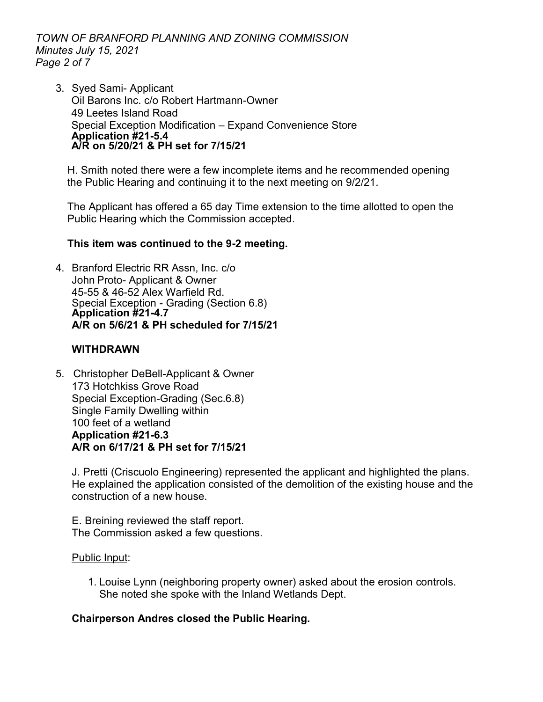*TOWN OF BRANFORD PLANNING AND ZONING COMMISSION Minutes July 15, 2021 Page 2 of 7*

3. Syed Sami- Applicant Oil Barons Inc. c/o Robert Hartmann-Owner 49 Leetes Island Road Special Exception Modification – Expand Convenience Store **Application #21-5.4 A/R on 5/20/21 & PH set for 7/15/21**

H. Smith noted there were a few incomplete items and he recommended opening the Public Hearing and continuing it to the next meeting on 9/2/21.

The Applicant has offered a 65 day Time extension to the time allotted to open the Public Hearing which the Commission accepted.

#### **This item was continued to the 9-2 meeting.**

4. Branford Electric RR Assn, Inc. c/o John Proto- Applicant & Owner 45-55 & 46-52 Alex Warfield Rd. Special Exception - Grading (Section 6.8) **Application #21-4.7 A/R on 5/6/21 & PH scheduled for 7/15/21**

#### **WITHDRAWN**

5. Christopher DeBell-Applicant & Owner 173 Hotchkiss Grove Road Special Exception-Grading (Sec.6.8) Single Family Dwelling within 100 feet of a wetland **Application #21-6.3 A/R on 6/17/21 & PH set for 7/15/21**

J. Pretti (Criscuolo Engineering) represented the applicant and highlighted the plans. He explained the application consisted of the demolition of the existing house and the construction of a new house.

E. Breining reviewed the staff report. The Commission asked a few questions.

#### Public Input:

1. Louise Lynn (neighboring property owner) asked about the erosion controls. She noted she spoke with the Inland Wetlands Dept.

#### **Chairperson Andres closed the Public Hearing.**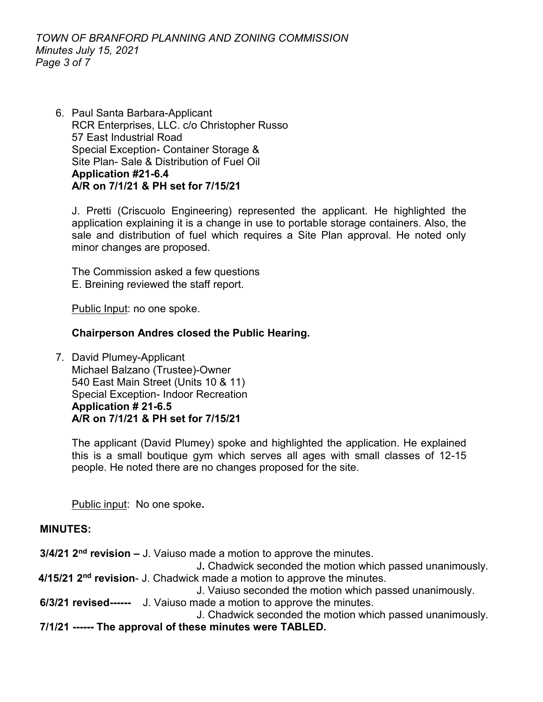6. Paul Santa Barbara-Applicant RCR Enterprises, LLC. c/o Christopher Russo 57 East Industrial Road Special Exception- Container Storage & Site Plan- Sale & Distribution of Fuel Oil **Application #21-6.4 A/R on 7/1/21 & PH set for 7/15/21**

J. Pretti (Criscuolo Engineering) represented the applicant. He highlighted the application explaining it is a change in use to portable storage containers. Also, the sale and distribution of fuel which requires a Site Plan approval. He noted only minor changes are proposed.

The Commission asked a few questions E. Breining reviewed the staff report.

Public Input: no one spoke.

#### **Chairperson Andres closed the Public Hearing.**

7. David Plumey-Applicant Michael Balzano (Trustee)-Owner 540 East Main Street (Units 10 & 11) Special Exception- Indoor Recreation **Application # 21-6.5 A/R on 7/1/21 & PH set for 7/15/21** 

The applicant (David Plumey) spoke and highlighted the application. He explained this is a small boutique gym which serves all ages with small classes of 12-15 people. He noted there are no changes proposed for the site.

Public input: No one spoke**.**

#### **MINUTES:**

**3/4/21 2nd revision –** J. Vaiuso made a motion to approve the minutes.

J**.** Chadwick seconded the motion which passed unanimously.

**4/15/21 2nd revision**- J. Chadwick made a motion to approve the minutes.

J. Vaiuso seconded the motion which passed unanimously.

**6/3/21 revised------** J. Vaiuso made a motion to approve the minutes.

J. Chadwick seconded the motion which passed unanimously.

**7/1/21 ------ The approval of these minutes were TABLED.**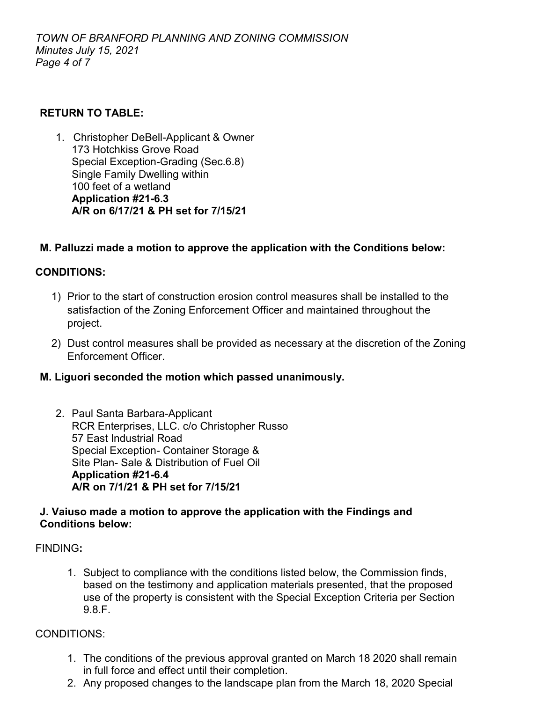# **RETURN TO TABLE:**

1. Christopher DeBell-Applicant & Owner 173 Hotchkiss Grove Road Special Exception-Grading (Sec.6.8) Single Family Dwelling within 100 feet of a wetland **Application #21-6.3 A/R on 6/17/21 & PH set for 7/15/21**

## **M. Palluzzi made a motion to approve the application with the Conditions below:**

# **CONDITIONS:**

- 1) Prior to the start of construction erosion control measures shall be installed to the satisfaction of the Zoning Enforcement Officer and maintained throughout the project.
- 2) Dust control measures shall be provided as necessary at the discretion of the Zoning Enforcement Officer.

#### **M. Liguori seconded the motion which passed unanimously.**

2. Paul Santa Barbara-Applicant RCR Enterprises, LLC. c/o Christopher Russo 57 East Industrial Road Special Exception- Container Storage & Site Plan- Sale & Distribution of Fuel Oil **Application #21-6.4 A/R on 7/1/21 & PH set for 7/15/21**

## **J. Vaiuso made a motion to approve the application with the Findings and Conditions below:**

#### FINDING**:**

1. Subject to compliance with the conditions listed below, the Commission finds, based on the testimony and application materials presented, that the proposed use of the property is consistent with the Special Exception Criteria per Section 9.8.F.

#### CONDITIONS:

- 1. The conditions of the previous approval granted on March 18 2020 shall remain in full force and effect until their completion.
- 2. Any proposed changes to the landscape plan from the March 18, 2020 Special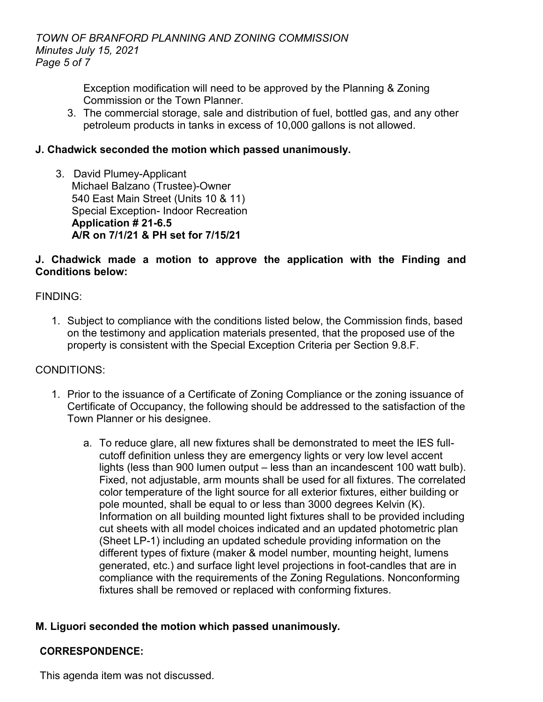Exception modification will need to be approved by the Planning & Zoning Commission or the Town Planner.

3. The commercial storage, sale and distribution of fuel, bottled gas, and any other petroleum products in tanks in excess of 10,000 gallons is not allowed.

# **J. Chadwick seconded the motion which passed unanimously.**

3. David Plumey-Applicant Michael Balzano (Trustee)-Owner 540 East Main Street (Units 10 & 11) Special Exception- Indoor Recreation **Application # 21-6.5 A/R on 7/1/21 & PH set for 7/15/21** 

# **J. Chadwick made a motion to approve the application with the Finding and Conditions below:**

FINDING:

1. Subject to compliance with the conditions listed below, the Commission finds, based on the testimony and application materials presented, that the proposed use of the property is consistent with the Special Exception Criteria per Section 9.8.F.

# CONDITIONS:

- 1. Prior to the issuance of a Certificate of Zoning Compliance or the zoning issuance of Certificate of Occupancy, the following should be addressed to the satisfaction of the Town Planner or his designee.
	- a. To reduce glare, all new fixtures shall be demonstrated to meet the IES fullcutoff definition unless they are emergency lights or very low level accent lights (less than 900 lumen output – less than an incandescent 100 watt bulb). Fixed, not adjustable, arm mounts shall be used for all fixtures. The correlated color temperature of the light source for all exterior fixtures, either building or pole mounted, shall be equal to or less than 3000 degrees Kelvin (K). Information on all building mounted light fixtures shall to be provided including cut sheets with all model choices indicated and an updated photometric plan (Sheet LP-1) including an updated schedule providing information on the different types of fixture (maker & model number, mounting height, lumens generated, etc.) and surface light level projections in foot-candles that are in compliance with the requirements of the Zoning Regulations. Nonconforming fixtures shall be removed or replaced with conforming fixtures.

# **M. Liguori seconded the motion which passed unanimously.**

# **CORRESPONDENCE:**

This agenda item was not discussed.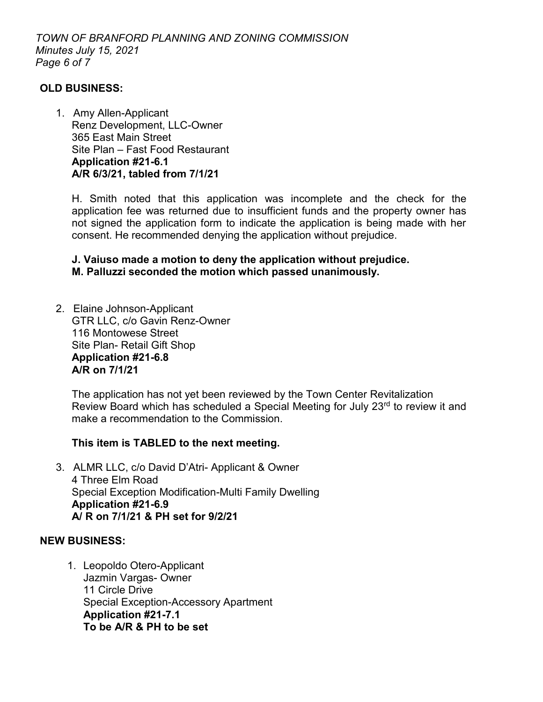## **OLD BUSINESS:**

1. Amy Allen-Applicant Renz Development, LLC-Owner 365 East Main Street Site Plan – Fast Food Restaurant **Application #21-6.1 A/R 6/3/21, tabled from 7/1/21**

H. Smith noted that this application was incomplete and the check for the application fee was returned due to insufficient funds and the property owner has not signed the application form to indicate the application is being made with her consent. He recommended denying the application without prejudice.

**J. Vaiuso made a motion to deny the application without prejudice. M. Palluzzi seconded the motion which passed unanimously.**

2. Elaine Johnson-Applicant GTR LLC, c/o Gavin Renz-Owner 116 Montowese Street Site Plan- Retail Gift Shop **Application #21-6.8 A/R on 7/1/21**

The application has not yet been reviewed by the Town Center Revitalization Review Board which has scheduled a Special Meeting for July 23<sup>rd</sup> to review it and make a recommendation to the Commission.

#### **This item is TABLED to the next meeting.**

3. ALMR LLC, c/o David D'Atri- Applicant & Owner 4 Three Elm Road Special Exception Modification-Multi Family Dwelling **Application #21-6.9 A/ R on 7/1/21 & PH set for 9/2/21**

#### **NEW BUSINESS:**

1. Leopoldo Otero-Applicant Jazmin Vargas- Owner 11 Circle Drive Special Exception-Accessory Apartment **Application #21-7.1 To be A/R & PH to be set**